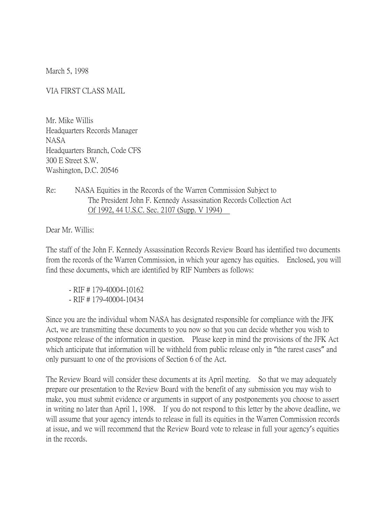March 5, 1998

VIA FIRST CLASS MAIL

Mr. Mike Willis Headquarters Records Manager NASA Headquarters Branch, Code CFS 300 E Street S.W. Washington, D.C. 20546

## Re: NASA Equities in the Records of the Warren Commission Subject to The President John F. Kennedy Assassination Records Collection Act Of 1992, 44 U.S.C. Sec. 2107 (Supp. V 1994)

Dear Mr. Willis:

The staff of the John F. Kennedy Assassination Records Review Board has identified two documents from the records of the Warren Commission, in which your agency has equities. Enclosed, you will find these documents, which are identified by RIF Numbers as follows:

- RIF # 179-40004-10162 - RIF # 179-40004-10434

Since you are the individual whom NASA has designated responsible for compliance with the JFK Act, we are transmitting these documents to you now so that you can decide whether you wish to postpone release of the information in question. Please keep in mind the provisions of the JFK Act which anticipate that information will be withheld from public release only in "the rarest cases" and only pursuant to one of the provisions of Section 6 of the Act.

The Review Board will consider these documents at its April meeting. So that we may adequately prepare our presentation to the Review Board with the benefit of any submission you may wish to make, you must submit evidence or arguments in support of any postponements you choose to assert in writing no later than April 1, 1998. If you do not respond to this letter by the above deadline, we will assume that your agency intends to release in full its equities in the Warren Commission records at issue, and we will recommend that the Review Board vote to release in full your agency's equities in the records.